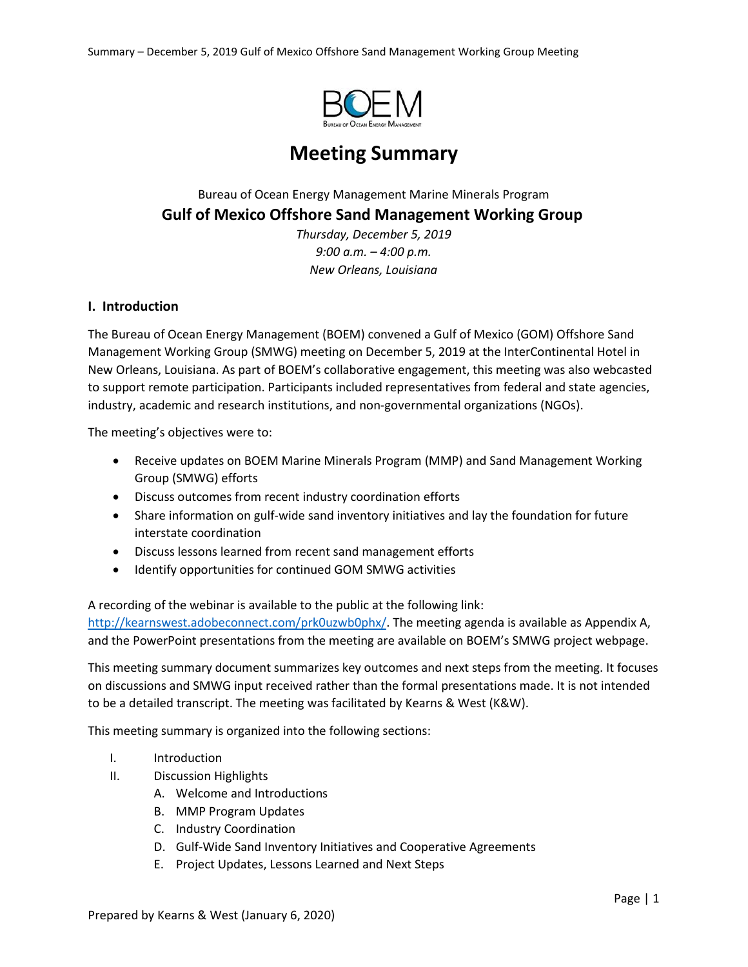

# **Meeting Summary**

## Bureau of Ocean Energy Management Marine Minerals Program **Gulf of Mexico Offshore Sand Management Working Group**

*Thursday, December 5, 2019 9:00 a.m. – 4:00 p.m. New Orleans, Louisiana*

### **I. Introduction**

The Bureau of Ocean Energy Management (BOEM) convened a Gulf of Mexico (GOM) Offshore Sand Management Working Group (SMWG) meeting on December 5, 2019 at the InterContinental Hotel in New Orleans, Louisiana. As part of BOEM's collaborative engagement, this meeting was also webcasted to support remote participation. Participants included representatives from federal and state agencies, industry, academic and research institutions, and non-governmental organizations (NGOs).

The meeting's objectives were to:

- Receive updates on BOEM Marine Minerals Program (MMP) and Sand Management Working Group (SMWG) efforts
- Discuss outcomes from recent industry coordination efforts
- Share information on gulf-wide sand inventory initiatives and lay the foundation for future interstate coordination
- Discuss lessons learned from recent sand management efforts
- Identify opportunities for continued GOM SMWG activities

A recording of the webinar is available to the public at the following link: [http://kearnswest.adobeconnect.com/prk0uzwb0phx/.](http://kearnswest.adobeconnect.com/prk0uzwb0phx/) The meeting agenda is available as Appendix A, and the PowerPoint presentations from the meeting are available on BOEM's SMWG project webpage.

This meeting summary document summarizes key outcomes and next steps from the meeting. It focuses on discussions and SMWG input received rather than the formal presentations made. It is not intended to be a detailed transcript. The meeting was facilitated by Kearns & West (K&W).

This meeting summary is organized into the following sections:

- I. Introduction
- II. Discussion Highlights
	- A. Welcome and Introductions
	- B. MMP Program Updates
	- C. Industry Coordination
	- D. Gulf-Wide Sand Inventory Initiatives and Cooperative Agreements
	- E. Project Updates, Lessons Learned and Next Steps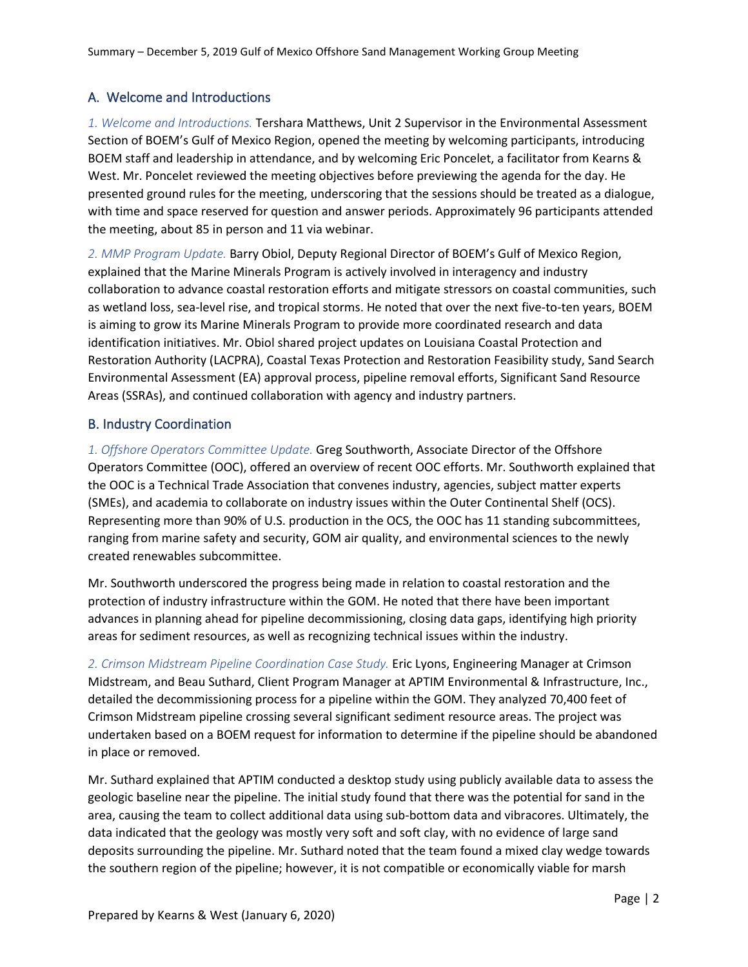## A. Welcome and Introductions

*1. Welcome and Introductions.* Tershara Matthews, Unit 2 Supervisor in the Environmental Assessment Section of BOEM's Gulf of Mexico Region, opened the meeting by welcoming participants, introducing BOEM staff and leadership in attendance, and by welcoming Eric Poncelet, a facilitator from Kearns & West. Mr. Poncelet reviewed the meeting objectives before previewing the agenda for the day. He presented ground rules for the meeting, underscoring that the sessions should be treated as a dialogue, with time and space reserved for question and answer periods. Approximately 96 participants attended the meeting, about 85 in person and 11 via webinar.

*2. MMP Program Update.* Barry Obiol, Deputy Regional Director of BOEM's Gulf of Mexico Region, explained that the Marine Minerals Program is actively involved in interagency and industry collaboration to advance coastal restoration efforts and mitigate stressors on coastal communities, such as wetland loss, sea-level rise, and tropical storms. He noted that over the next five-to-ten years, BOEM is aiming to grow its Marine Minerals Program to provide more coordinated research and data identification initiatives. Mr. Obiol shared project updates on Louisiana Coastal Protection and Restoration Authority (LACPRA), Coastal Texas Protection and Restoration Feasibility study, Sand Search Environmental Assessment (EA) approval process, pipeline removal efforts, Significant Sand Resource Areas (SSRAs), and continued collaboration with agency and industry partners.

### B. Industry Coordination

*1. Offshore Operators Committee Update.* Greg Southworth, Associate Director of the Offshore Operators Committee (OOC), offered an overview of recent OOC efforts. Mr. Southworth explained that the OOC is a Technical Trade Association that convenes industry, agencies, subject matter experts (SMEs), and academia to collaborate on industry issues within the Outer Continental Shelf (OCS). Representing more than 90% of U.S. production in the OCS, the OOC has 11 standing subcommittees, ranging from marine safety and security, GOM air quality, and environmental sciences to the newly created renewables subcommittee.

Mr. Southworth underscored the progress being made in relation to coastal restoration and the protection of industry infrastructure within the GOM. He noted that there have been important advances in planning ahead for pipeline decommissioning, closing data gaps, identifying high priority areas for sediment resources, as well as recognizing technical issues within the industry.

*2. Crimson Midstream Pipeline Coordination Case Study.* Eric Lyons, Engineering Manager at Crimson Midstream, and Beau Suthard, Client Program Manager at APTIM Environmental & Infrastructure, Inc., detailed the decommissioning process for a pipeline within the GOM. They analyzed 70,400 feet of Crimson Midstream pipeline crossing several significant sediment resource areas. The project was undertaken based on a BOEM request for information to determine if the pipeline should be abandoned in place or removed.

Mr. Suthard explained that APTIM conducted a desktop study using publicly available data to assess the geologic baseline near the pipeline. The initial study found that there was the potential for sand in the area, causing the team to collect additional data using sub-bottom data and vibracores. Ultimately, the data indicated that the geology was mostly very soft and soft clay, with no evidence of large sand deposits surrounding the pipeline. Mr. Suthard noted that the team found a mixed clay wedge towards the southern region of the pipeline; however, it is not compatible or economically viable for marsh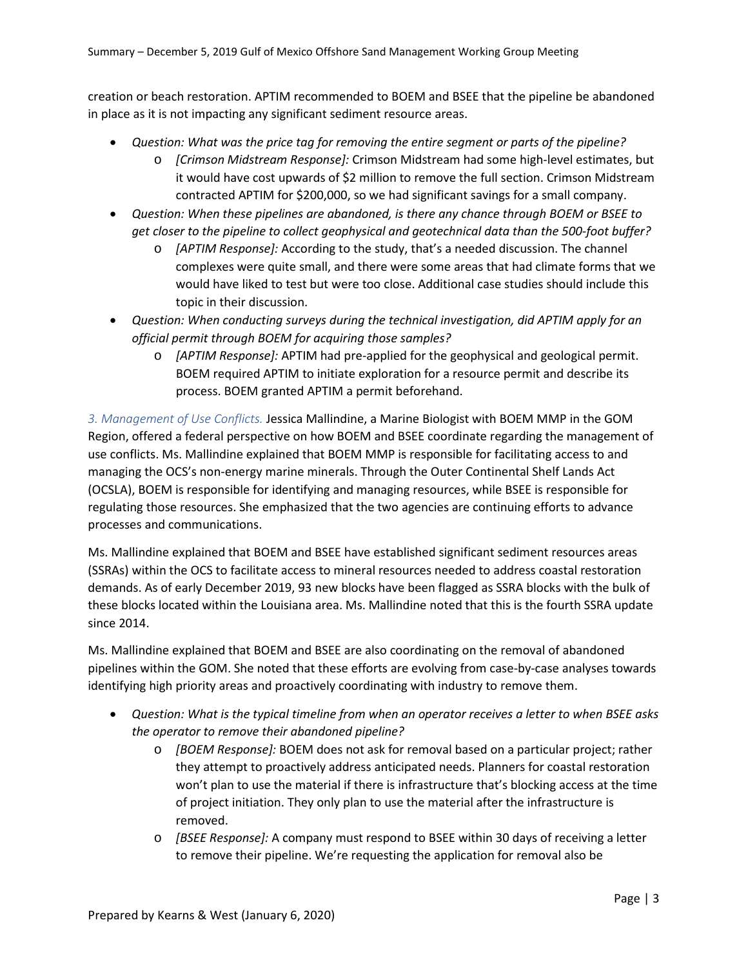creation or beach restoration. APTIM recommended to BOEM and BSEE that the pipeline be abandoned in place as it is not impacting any significant sediment resource areas.

- *Question: What was the price tag for removing the entire segment or parts of the pipeline?*
	- o *[Crimson Midstream Response]:* Crimson Midstream had some high-level estimates, but it would have cost upwards of \$2 million to remove the full section. Crimson Midstream contracted APTIM for \$200,000, so we had significant savings for a small company.
- *Question: When these pipelines are abandoned, is there any chance through BOEM or BSEE to get closer to the pipeline to collect geophysical and geotechnical data than the 500-foot buffer?* 
	- o *[APTIM Response]:* According to the study, that's a needed discussion. The channel complexes were quite small, and there were some areas that had climate forms that we would have liked to test but were too close. Additional case studies should include this topic in their discussion.
- *Question: When conducting surveys during the technical investigation, did APTIM apply for an official permit through BOEM for acquiring those samples?*
	- o *[APTIM Response]:* APTIM had pre-applied for the geophysical and geological permit. BOEM required APTIM to initiate exploration for a resource permit and describe its process. BOEM granted APTIM a permit beforehand.

*3. Management of Use Conflicts.* Jessica Mallindine, a Marine Biologist with BOEM MMP in the GOM Region, offered a federal perspective on how BOEM and BSEE coordinate regarding the management of use conflicts. Ms. Mallindine explained that BOEM MMP is responsible for facilitating access to and managing the OCS's non-energy marine minerals. Through the Outer Continental Shelf Lands Act (OCSLA), BOEM is responsible for identifying and managing resources, while BSEE is responsible for regulating those resources. She emphasized that the two agencies are continuing efforts to advance processes and communications.

Ms. Mallindine explained that BOEM and BSEE have established significant sediment resources areas (SSRAs) within the OCS to facilitate access to mineral resources needed to address coastal restoration demands. As of early December 2019, 93 new blocks have been flagged as SSRA blocks with the bulk of these blocks located within the Louisiana area. Ms. Mallindine noted that this is the fourth SSRA update since 2014.

Ms. Mallindine explained that BOEM and BSEE are also coordinating on the removal of abandoned pipelines within the GOM. She noted that these efforts are evolving from case-by-case analyses towards identifying high priority areas and proactively coordinating with industry to remove them.

- *Question: What is the typical timeline from when an operator receives a letter to when BSEE asks the operator to remove their abandoned pipeline?*
	- o *[BOEM Response]:* BOEM does not ask for removal based on a particular project; rather they attempt to proactively address anticipated needs. Planners for coastal restoration won't plan to use the material if there is infrastructure that's blocking access at the time of project initiation. They only plan to use the material after the infrastructure is removed.
	- o *[BSEE Response]:* A company must respond to BSEE within 30 days of receiving a letter to remove their pipeline. We're requesting the application for removal also be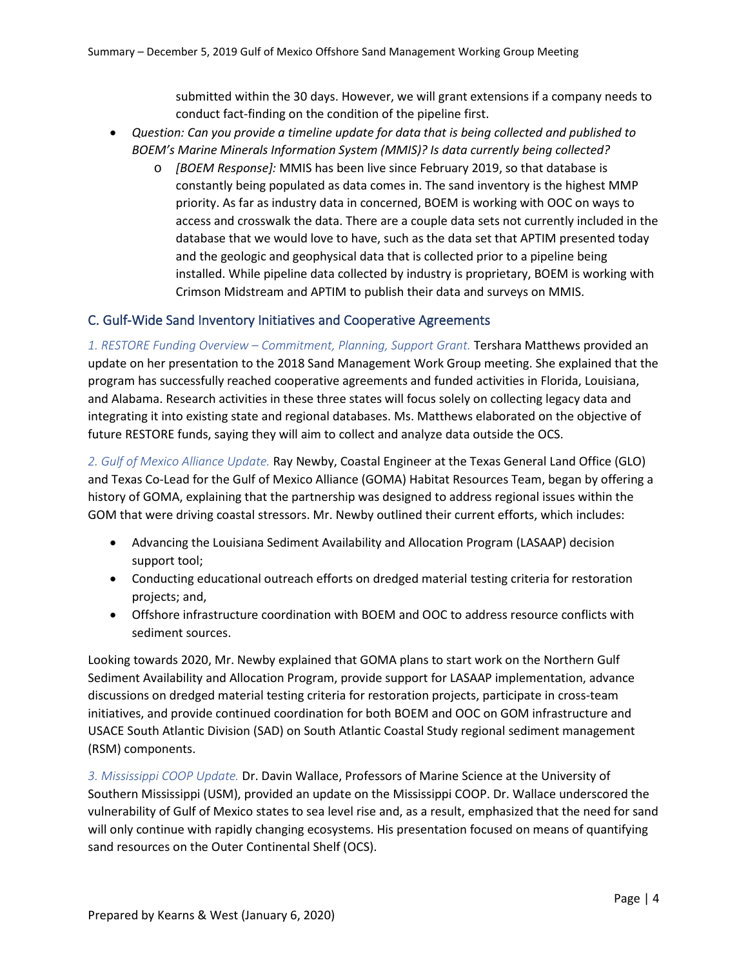submitted within the 30 days. However, we will grant extensions if a company needs to conduct fact-finding on the condition of the pipeline first.

- *Question: Can you provide a timeline update for data that is being collected and published to BOEM's Marine Minerals Information System (MMIS)? Is data currently being collected?*
	- o *[BOEM Response]:* MMIS has been live since February 2019, so that database is constantly being populated as data comes in. The sand inventory is the highest MMP priority. As far as industry data in concerned, BOEM is working with OOC on ways to access and crosswalk the data. There are a couple data sets not currently included in the database that we would love to have, such as the data set that APTIM presented today and the geologic and geophysical data that is collected prior to a pipeline being installed. While pipeline data collected by industry is proprietary, BOEM is working with Crimson Midstream and APTIM to publish their data and surveys on MMIS.

### C. Gulf-Wide Sand Inventory Initiatives and Cooperative Agreements

*1. RESTORE Funding Overview – Commitment, Planning, Support Grant.* Tershara Matthews provided an update on her presentation to the 2018 Sand Management Work Group meeting. She explained that the program has successfully reached cooperative agreements and funded activities in Florida, Louisiana, and Alabama. Research activities in these three states will focus solely on collecting legacy data and integrating it into existing state and regional databases. Ms. Matthews elaborated on the objective of future RESTORE funds, saying they will aim to collect and analyze data outside the OCS.

*2. Gulf of Mexico Alliance Update.* Ray Newby, Coastal Engineer at the Texas General Land Office (GLO) and Texas Co-Lead for the Gulf of Mexico Alliance (GOMA) Habitat Resources Team, began by offering a history of GOMA, explaining that the partnership was designed to address regional issues within the GOM that were driving coastal stressors. Mr. Newby outlined their current efforts, which includes:

- Advancing the Louisiana Sediment Availability and Allocation Program (LASAAP) decision support tool;
- Conducting educational outreach efforts on dredged material testing criteria for restoration projects; and,
- Offshore infrastructure coordination with BOEM and OOC to address resource conflicts with sediment sources.

Looking towards 2020, Mr. Newby explained that GOMA plans to start work on the Northern Gulf Sediment Availability and Allocation Program, provide support for LASAAP implementation, advance discussions on dredged material testing criteria for restoration projects, participate in cross-team initiatives, and provide continued coordination for both BOEM and OOC on GOM infrastructure and USACE South Atlantic Division (SAD) on South Atlantic Coastal Study regional sediment management (RSM) components.

*3. Mississippi COOP Update.* Dr. Davin Wallace, Professors of Marine Science at the University of Southern Mississippi (USM), provided an update on the Mississippi COOP. Dr. Wallace underscored the vulnerability of Gulf of Mexico states to sea level rise and, as a result, emphasized that the need for sand will only continue with rapidly changing ecosystems. His presentation focused on means of quantifying sand resources on the Outer Continental Shelf (OCS).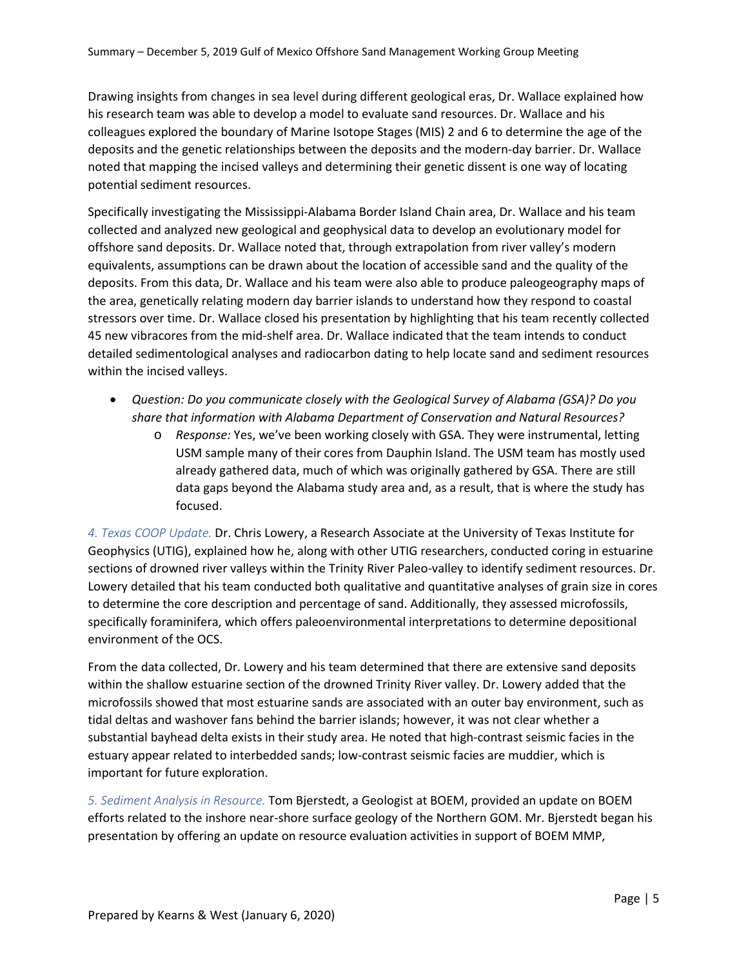Drawing insights from changes in sea level during different geological eras, Dr. Wallace explained how his research team was able to develop a model to evaluate sand resources. Dr. Wallace and his colleagues explored the boundary of Marine Isotope Stages (MIS) 2 and 6 to determine the age of the deposits and the genetic relationships between the deposits and the modern-day barrier. Dr. Wallace noted that mapping the incised valleys and determining their genetic dissent is one way of locating potential sediment resources.

Specifically investigating the Mississippi-Alabama Border Island Chain area, Dr. Wallace and his team collected and analyzed new geological and geophysical data to develop an evolutionary model for offshore sand deposits. Dr. Wallace noted that, through extrapolation from river valley's modern equivalents, assumptions can be drawn about the location of accessible sand and the quality of the deposits. From this data, Dr. Wallace and his team were also able to produce paleogeography maps of the area, genetically relating modern day barrier islands to understand how they respond to coastal stressors over time. Dr. Wallace closed his presentation by highlighting that his team recently collected 45 new vibracores from the mid-shelf area. Dr. Wallace indicated that the team intends to conduct detailed sedimentological analyses and radiocarbon dating to help locate sand and sediment resources within the incised valleys.

- *Question: Do you communicate closely with the Geological Survey of Alabama (GSA)? Do you share that information with Alabama Department of Conservation and Natural Resources?*
	- o *Response:* Yes, we've been working closely with GSA. They were instrumental, letting USM sample many of their cores from Dauphin Island. The USM team has mostly used already gathered data, much of which was originally gathered by GSA. There are still data gaps beyond the Alabama study area and, as a result, that is where the study has focused.

*4. Texas COOP Update.* Dr. Chris Lowery, a Research Associate at the University of Texas Institute for Geophysics (UTIG), explained how he, along with other UTIG researchers, conducted coring in estuarine sections of drowned river valleys within the Trinity River Paleo-valley to identify sediment resources. Dr. Lowery detailed that his team conducted both qualitative and quantitative analyses of grain size in cores to determine the core description and percentage of sand. Additionally, they assessed microfossils, specifically foraminifera, which offers paleoenvironmental interpretations to determine depositional environment of the OCS.

From the data collected, Dr. Lowery and his team determined that there are extensive sand deposits within the shallow estuarine section of the drowned Trinity River valley. Dr. Lowery added that the microfossils showed that most estuarine sands are associated with an outer bay environment, such as tidal deltas and washover fans behind the barrier islands; however, it was not clear whether a substantial bayhead delta exists in their study area. He noted that high-contrast seismic facies in the estuary appear related to interbedded sands; low-contrast seismic facies are muddier, which is important for future exploration.

*5. Sediment Analysis in Resource.* Tom Bjerstedt, a Geologist at BOEM, provided an update on BOEM efforts related to the inshore near-shore surface geology of the Northern GOM. Mr. Bjerstedt began his presentation by offering an update on resource evaluation activities in support of BOEM MMP,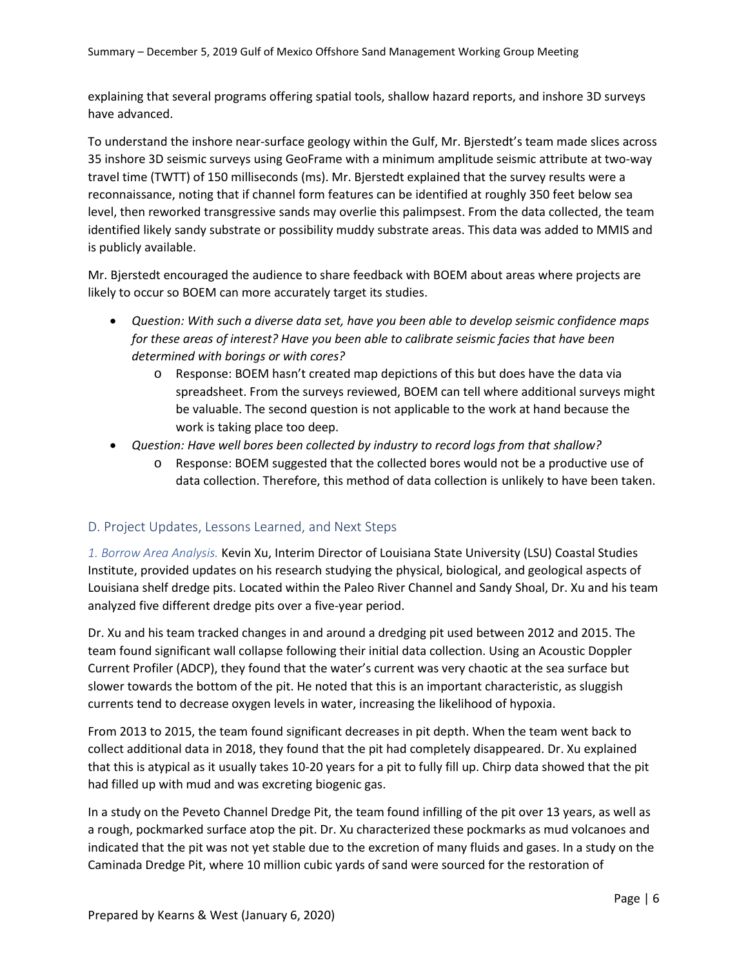explaining that several programs offering spatial tools, shallow hazard reports, and inshore 3D surveys have advanced.

To understand the inshore near-surface geology within the Gulf, Mr. Bjerstedt's team made slices across 35 inshore 3D seismic surveys using GeoFrame with a minimum amplitude seismic attribute at two-way travel time (TWTT) of 150 milliseconds (ms). Mr. Bjerstedt explained that the survey results were a reconnaissance, noting that if channel form features can be identified at roughly 350 feet below sea level, then reworked transgressive sands may overlie this palimpsest. From the data collected, the team identified likely sandy substrate or possibility muddy substrate areas. This data was added to MMIS and is publicly available.

Mr. Bjerstedt encouraged the audience to share feedback with BOEM about areas where projects are likely to occur so BOEM can more accurately target its studies.

- *Question: With such a diverse data set, have you been able to develop seismic confidence maps for these areas of interest? Have you been able to calibrate seismic facies that have been determined with borings or with cores?*
	- o Response: BOEM hasn't created map depictions of this but does have the data via spreadsheet. From the surveys reviewed, BOEM can tell where additional surveys might be valuable. The second question is not applicable to the work at hand because the work is taking place too deep.
- *Question: Have well bores been collected by industry to record logs from that shallow?*
	- o Response: BOEM suggested that the collected bores would not be a productive use of data collection. Therefore, this method of data collection is unlikely to have been taken.

### D. Project Updates, Lessons Learned, and Next Steps

*1. Borrow Area Analysis.* Kevin Xu, Interim Director of Louisiana State University (LSU) Coastal Studies Institute, provided updates on his research studying the physical, biological, and geological aspects of Louisiana shelf dredge pits. Located within the Paleo River Channel and Sandy Shoal, Dr. Xu and his team analyzed five different dredge pits over a five-year period.

Dr. Xu and his team tracked changes in and around a dredging pit used between 2012 and 2015. The team found significant wall collapse following their initial data collection. Using an Acoustic Doppler Current Profiler (ADCP), they found that the water's current was very chaotic at the sea surface but slower towards the bottom of the pit. He noted that this is an important characteristic, as sluggish currents tend to decrease oxygen levels in water, increasing the likelihood of hypoxia.

From 2013 to 2015, the team found significant decreases in pit depth. When the team went back to collect additional data in 2018, they found that the pit had completely disappeared. Dr. Xu explained that this is atypical as it usually takes 10-20 years for a pit to fully fill up. Chirp data showed that the pit had filled up with mud and was excreting biogenic gas.

In a study on the Peveto Channel Dredge Pit, the team found infilling of the pit over 13 years, as well as a rough, pockmarked surface atop the pit. Dr. Xu characterized these pockmarks as mud volcanoes and indicated that the pit was not yet stable due to the excretion of many fluids and gases. In a study on the Caminada Dredge Pit, where 10 million cubic yards of sand were sourced for the restoration of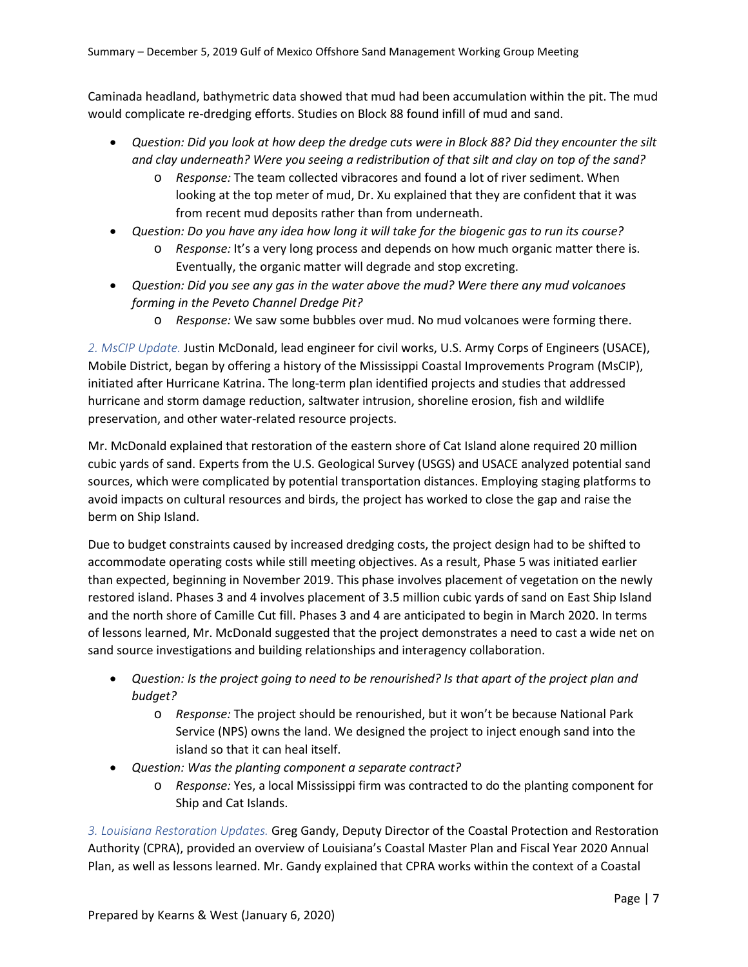Caminada headland, bathymetric data showed that mud had been accumulation within the pit. The mud would complicate re-dredging efforts. Studies on Block 88 found infill of mud and sand.

- *Question: Did you look at how deep the dredge cuts were in Block 88? Did they encounter the silt and clay underneath? Were you seeing a redistribution of that silt and clay on top of the sand?*
	- o *Response:* The team collected vibracores and found a lot of river sediment. When looking at the top meter of mud, Dr. Xu explained that they are confident that it was from recent mud deposits rather than from underneath.
- *Question: Do you have any idea how long it will take for the biogenic gas to run its course?*
	- o *Response:* It's a very long process and depends on how much organic matter there is. Eventually, the organic matter will degrade and stop excreting.
- *Question: Did you see any gas in the water above the mud? Were there any mud volcanoes forming in the Peveto Channel Dredge Pit?*
	- o *Response:* We saw some bubbles over mud. No mud volcanoes were forming there.

*2. MsCIP Update.* Justin McDonald, lead engineer for civil works, U.S. Army Corps of Engineers (USACE), Mobile District, began by offering a history of the Mississippi Coastal Improvements Program (MsCIP), initiated after Hurricane Katrina. The long-term plan identified projects and studies that addressed hurricane and storm damage reduction, saltwater intrusion, shoreline erosion, fish and wildlife preservation, and other water-related resource projects.

Mr. McDonald explained that restoration of the eastern shore of Cat Island alone required 20 million cubic yards of sand. Experts from the U.S. Geological Survey (USGS) and USACE analyzed potential sand sources, which were complicated by potential transportation distances. Employing staging platforms to avoid impacts on cultural resources and birds, the project has worked to close the gap and raise the berm on Ship Island.

Due to budget constraints caused by increased dredging costs, the project design had to be shifted to accommodate operating costs while still meeting objectives. As a result, Phase 5 was initiated earlier than expected, beginning in November 2019. This phase involves placement of vegetation on the newly restored island. Phases 3 and 4 involves placement of 3.5 million cubic yards of sand on East Ship Island and the north shore of Camille Cut fill. Phases 3 and 4 are anticipated to begin in March 2020. In terms of lessons learned, Mr. McDonald suggested that the project demonstrates a need to cast a wide net on sand source investigations and building relationships and interagency collaboration.

- *Question: Is the project going to need to be renourished? Is that apart of the project plan and budget?*
	- o *Response:* The project should be renourished, but it won't be because National Park Service (NPS) owns the land. We designed the project to inject enough sand into the island so that it can heal itself.
- *Question: Was the planting component a separate contract?*
	- o *Response:* Yes, a local Mississippi firm was contracted to do the planting component for Ship and Cat Islands.

*3. Louisiana Restoration Updates.* Greg Gandy, Deputy Director of the Coastal Protection and Restoration Authority (CPRA), provided an overview of Louisiana's Coastal Master Plan and Fiscal Year 2020 Annual Plan, as well as lessons learned. Mr. Gandy explained that CPRA works within the context of a Coastal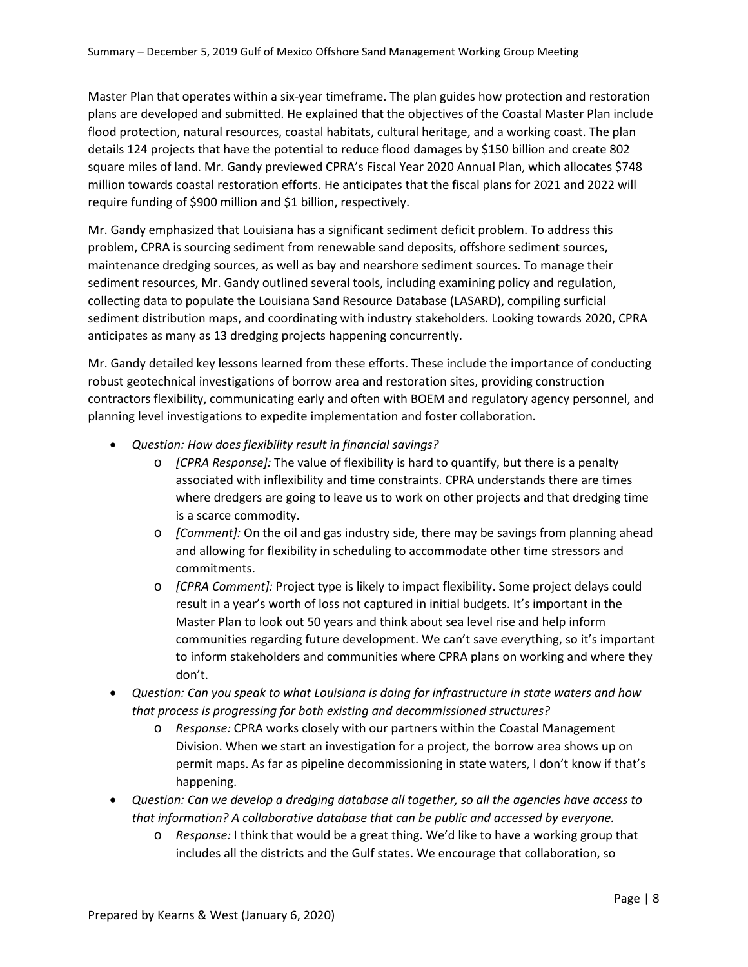Master Plan that operates within a six-year timeframe. The plan guides how protection and restoration plans are developed and submitted. He explained that the objectives of the Coastal Master Plan include flood protection, natural resources, coastal habitats, cultural heritage, and a working coast. The plan details 124 projects that have the potential to reduce flood damages by \$150 billion and create 802 square miles of land. Mr. Gandy previewed CPRA's Fiscal Year 2020 Annual Plan, which allocates \$748 million towards coastal restoration efforts. He anticipates that the fiscal plans for 2021 and 2022 will require funding of \$900 million and \$1 billion, respectively.

Mr. Gandy emphasized that Louisiana has a significant sediment deficit problem. To address this problem, CPRA is sourcing sediment from renewable sand deposits, offshore sediment sources, maintenance dredging sources, as well as bay and nearshore sediment sources. To manage their sediment resources, Mr. Gandy outlined several tools, including examining policy and regulation, collecting data to populate the Louisiana Sand Resource Database (LASARD), compiling surficial sediment distribution maps, and coordinating with industry stakeholders. Looking towards 2020, CPRA anticipates as many as 13 dredging projects happening concurrently.

Mr. Gandy detailed key lessons learned from these efforts. These include the importance of conducting robust geotechnical investigations of borrow area and restoration sites, providing construction contractors flexibility, communicating early and often with BOEM and regulatory agency personnel, and planning level investigations to expedite implementation and foster collaboration.

- *Question: How does flexibility result in financial savings?*
	- o *[CPRA Response]:* The value of flexibility is hard to quantify, but there is a penalty associated with inflexibility and time constraints. CPRA understands there are times where dredgers are going to leave us to work on other projects and that dredging time is a scarce commodity.
	- o *[Comment]:* On the oil and gas industry side, there may be savings from planning ahead and allowing for flexibility in scheduling to accommodate other time stressors and commitments.
	- o *[CPRA Comment]:* Project type is likely to impact flexibility. Some project delays could result in a year's worth of loss not captured in initial budgets. It's important in the Master Plan to look out 50 years and think about sea level rise and help inform communities regarding future development. We can't save everything, so it's important to inform stakeholders and communities where CPRA plans on working and where they don't.
- *Question: Can you speak to what Louisiana is doing for infrastructure in state waters and how that process is progressing for both existing and decommissioned structures?*
	- o *Response:* CPRA works closely with our partners within the Coastal Management Division. When we start an investigation for a project, the borrow area shows up on permit maps. As far as pipeline decommissioning in state waters, I don't know if that's happening.
- *Question: Can we develop a dredging database all together, so all the agencies have access to that information? A collaborative database that can be public and accessed by everyone.* 
	- o *Response:* I think that would be a great thing. We'd like to have a working group that includes all the districts and the Gulf states. We encourage that collaboration, so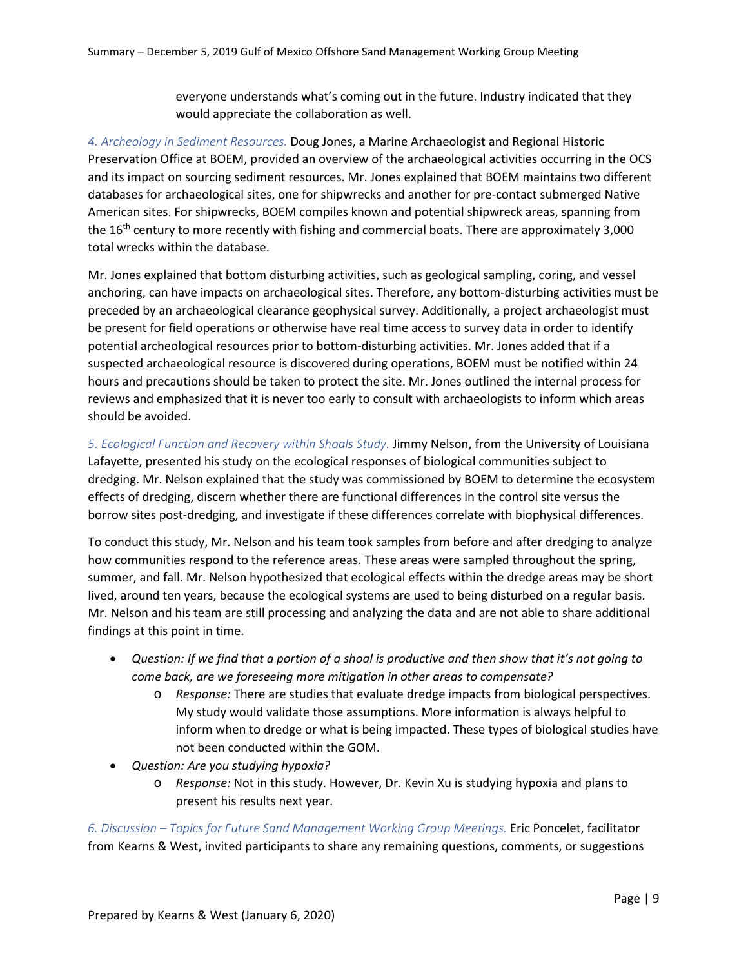everyone understands what's coming out in the future. Industry indicated that they would appreciate the collaboration as well.

*4. Archeology in Sediment Resources.* Doug Jones, a Marine Archaeologist and Regional Historic Preservation Office at BOEM, provided an overview of the archaeological activities occurring in the OCS and its impact on sourcing sediment resources. Mr. Jones explained that BOEM maintains two different databases for archaeological sites, one for shipwrecks and another for pre-contact submerged Native American sites. For shipwrecks, BOEM compiles known and potential shipwreck areas, spanning from the  $16<sup>th</sup>$  century to more recently with fishing and commercial boats. There are approximately 3,000 total wrecks within the database.

Mr. Jones explained that bottom disturbing activities, such as geological sampling, coring, and vessel anchoring, can have impacts on archaeological sites. Therefore, any bottom-disturbing activities must be preceded by an archaeological clearance geophysical survey. Additionally, a project archaeologist must be present for field operations or otherwise have real time access to survey data in order to identify potential archeological resources prior to bottom-disturbing activities. Mr. Jones added that if a suspected archaeological resource is discovered during operations, BOEM must be notified within 24 hours and precautions should be taken to protect the site. Mr. Jones outlined the internal process for reviews and emphasized that it is never too early to consult with archaeologists to inform which areas should be avoided.

*5. Ecological Function and Recovery within Shoals Study.* Jimmy Nelson, from the University of Louisiana Lafayette, presented his study on the ecological responses of biological communities subject to dredging. Mr. Nelson explained that the study was commissioned by BOEM to determine the ecosystem effects of dredging, discern whether there are functional differences in the control site versus the borrow sites post-dredging, and investigate if these differences correlate with biophysical differences.

To conduct this study, Mr. Nelson and his team took samples from before and after dredging to analyze how communities respond to the reference areas. These areas were sampled throughout the spring, summer, and fall. Mr. Nelson hypothesized that ecological effects within the dredge areas may be short lived, around ten years, because the ecological systems are used to being disturbed on a regular basis. Mr. Nelson and his team are still processing and analyzing the data and are not able to share additional findings at this point in time.

- *Question: If we find that a portion of a shoal is productive and then show that it's not going to come back, are we foreseeing more mitigation in other areas to compensate?*
	- o *Response:* There are studies that evaluate dredge impacts from biological perspectives. My study would validate those assumptions. More information is always helpful to inform when to dredge or what is being impacted. These types of biological studies have not been conducted within the GOM.
- *Question: Are you studying hypoxia?*
	- o *Response:* Not in this study. However, Dr. Kevin Xu is studying hypoxia and plans to present his results next year.

*6. Discussion – Topics for Future Sand Management Working Group Meetings.* Eric Poncelet, facilitator from Kearns & West, invited participants to share any remaining questions, comments, or suggestions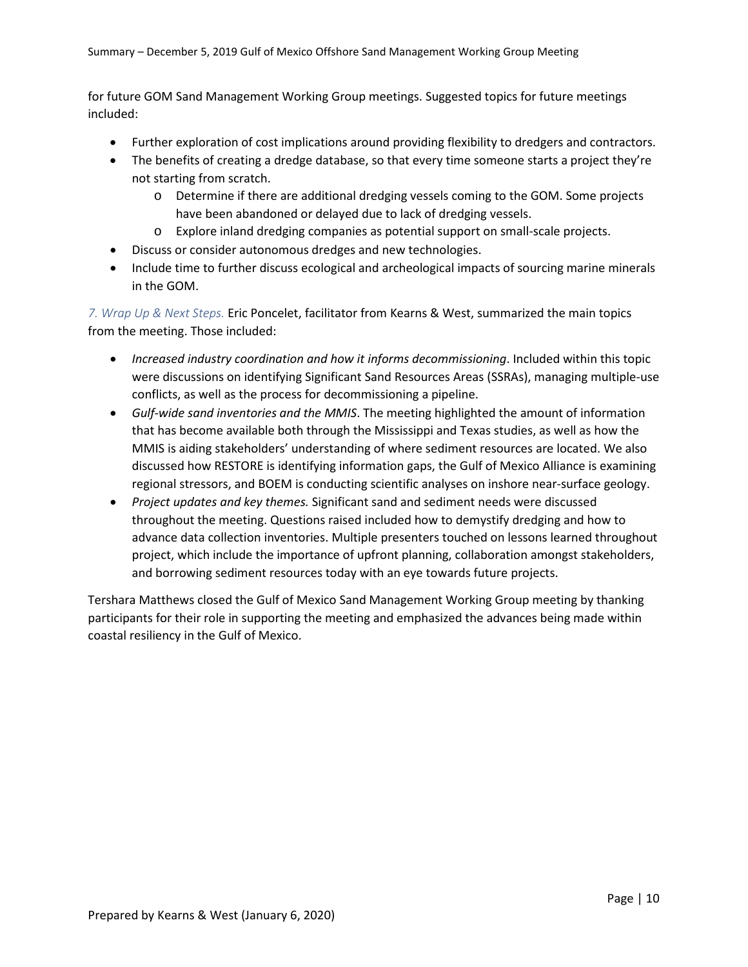for future GOM Sand Management Working Group meetings. Suggested topics for future meetings included:

- Further exploration of cost implications around providing flexibility to dredgers and contractors.
- The benefits of creating a dredge database, so that every time someone starts a project they're not starting from scratch.
	- o Determine if there are additional dredging vessels coming to the GOM. Some projects have been abandoned or delayed due to lack of dredging vessels.
	- o Explore inland dredging companies as potential support on small-scale projects.
- Discuss or consider autonomous dredges and new technologies.
- Include time to further discuss ecological and archeological impacts of sourcing marine minerals in the GOM.

*7. Wrap Up & Next Steps.* Eric Poncelet, facilitator from Kearns & West, summarized the main topics from the meeting. Those included:

- *Increased industry coordination and how it informs decommissioning*. Included within this topic were discussions on identifying Significant Sand Resources Areas (SSRAs), managing multiple-use conflicts, as well as the process for decommissioning a pipeline.
- *Gulf-wide sand inventories and the MMIS*. The meeting highlighted the amount of information that has become available both through the Mississippi and Texas studies, as well as how the MMIS is aiding stakeholders' understanding of where sediment resources are located. We also discussed how RESTORE is identifying information gaps, the Gulf of Mexico Alliance is examining regional stressors, and BOEM is conducting scientific analyses on inshore near-surface geology.
- *Project updates and key themes.* Significant sand and sediment needs were discussed throughout the meeting. Questions raised included how to demystify dredging and how to advance data collection inventories. Multiple presenters touched on lessons learned throughout project, which include the importance of upfront planning, collaboration amongst stakeholders, and borrowing sediment resources today with an eye towards future projects.

Tershara Matthews closed the Gulf of Mexico Sand Management Working Group meeting by thanking participants for their role in supporting the meeting and emphasized the advances being made within coastal resiliency in the Gulf of Mexico.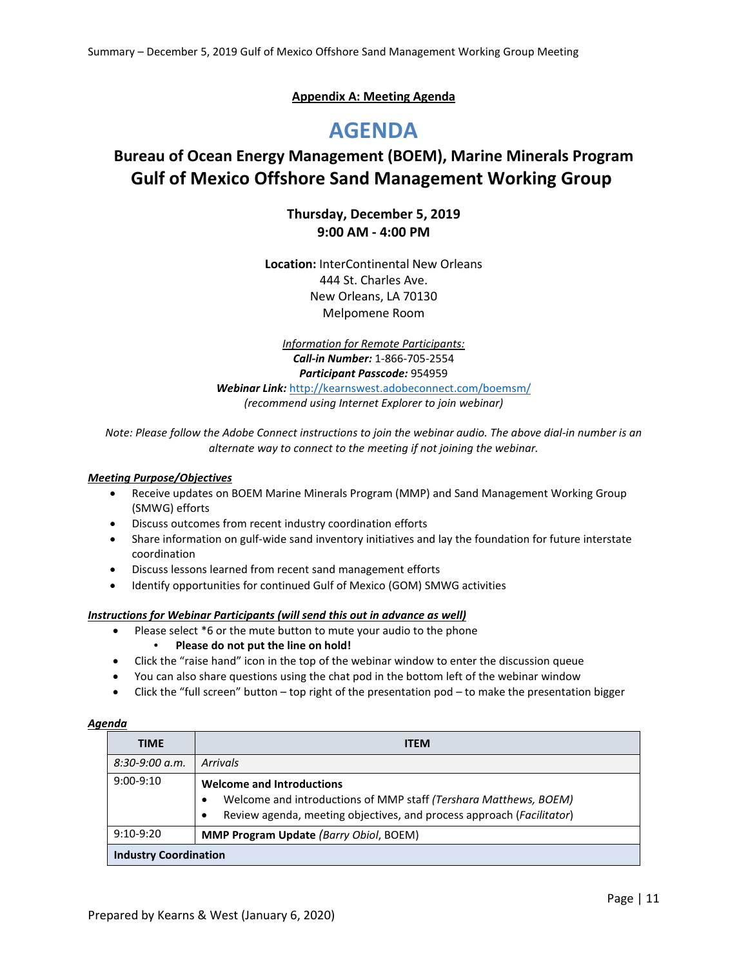#### **Appendix A: Meeting Agenda**

# **AGENDA**

## **Bureau of Ocean Energy Management (BOEM), Marine Minerals Program Gulf of Mexico Offshore Sand Management Working Group**

#### **Thursday, December 5, 2019 9:00 AM - 4:00 PM**

**Location:** InterContinental New Orleans 444 St. Charles Ave. New Orleans, LA 70130 Melpomene Room

*Information for Remote Participants: Call-in Number:* 1-866-705-2554 *Participant Passcode:* 954959 *Webinar Link:* <http://kearnswest.adobeconnect.com/boemsm/> *(recommend using Internet Explorer to join webinar)*

*Note: Please follow the Adobe Connect instructions to join the webinar audio. The above dial-in number is an alternate way to connect to the meeting if not joining the webinar.*

#### *Meeting Purpose/Objectives*

- Receive updates on BOEM Marine Minerals Program (MMP) and Sand Management Working Group (SMWG) efforts
- Discuss outcomes from recent industry coordination efforts
- Share information on gulf-wide sand inventory initiatives and lay the foundation for future interstate coordination
- Discuss lessons learned from recent sand management efforts
- Identify opportunities for continued Gulf of Mexico (GOM) SMWG activities

#### *Instructions for Webinar Participants (will send this out in advance as well)*

- Please select \*6 or the mute button to mute your audio to the phone
	- **Please do not put the line on hold!**
- Click the "raise hand" icon in the top of the webinar window to enter the discussion queue
- You can also share questions using the chat pod in the bottom left of the webinar window
- Click the "full screen" button top right of the presentation pod to make the presentation bigger

#### *Agenda*

| <b>TIME</b>                  | <b>ITEM</b>                                                                                                                                                                        |
|------------------------------|------------------------------------------------------------------------------------------------------------------------------------------------------------------------------------|
| $8:30-9:00 a.m.$             | <b>Arrivals</b>                                                                                                                                                                    |
| $9:00-9:10$                  | <b>Welcome and Introductions</b><br>Welcome and introductions of MMP staff (Tershara Matthews, BOEM)<br>Review agenda, meeting objectives, and process approach (Facilitator)<br>٠ |
| $9:10-9:20$                  | <b>MMP Program Update (Barry Obiol, BOEM)</b>                                                                                                                                      |
| <b>Industry Coordination</b> |                                                                                                                                                                                    |